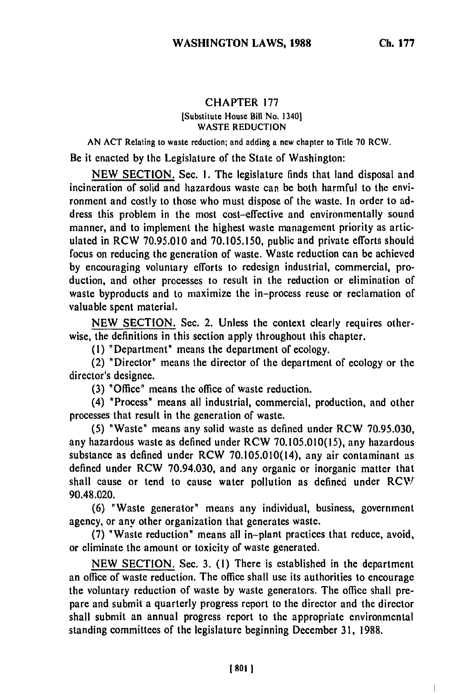## CHAPTER **<sup>177</sup>** [Substitute House Bill No. 1340] WASTE **REDUCTION**

**AN ACT** Relating to waste reduction; and adding a **new** chapter to Title 70 RCW.

Be it enacted by the Legislature of the State of Washington:

NEW SECTION. Sec. **1.** The legislature finds that land disposal and incineration of solid and hazardous waste can be both harmful to the environment and costly to those who must dispose of the waste. In order to address this problem in the most cost-effective and environmentally sound manner, and to implement the highest waste management priority as articulated in RCW 70.95.010 and 70.105.150, public and private efforts should focus on reducing the generation of waste. Waste reduction can be achieved by encouraging voluntary efforts to redesign industrial, commercial, production, and other processes to result in the reduction or elimination of waste byproducts and to maximize the in-process reuse or reclamation of valuable spent material.

NEW SECTION. Sec. 2. Unless the context clearly requires otherwise, the definitions in this section apply throughout this chapter.

**(1)** "Department" means the department of ecology.

(2) "Director" means the director of the department of ecology or the director's designee.

(3) "Office" means the office of waste reduction.

(4) "Process" means all industrial, commercial, production, and other processes that result in the generation of waste.

(5) "Waste" means any solid waste as defined under RCW 70.95.030, any hazardous waste as defined under RCW 70.105.010(15), any hazardous substance as defined under RCW 70.105.010(14), any air contaminant as defined under RCW 70.94.030, and any organic or inorganic matter that shall cause or tend to cause water pollution as defined under RCW 90.48.020.

(6) "Waste generator" means any individual, business, government agency, or any other organization that generates waste.

(7) "Waste reduction" means all in-plant practices that reduce, avoid, or eliminate the amount or toxicity of waste generated.

NEW SECTION. Sec. 3. **(1)** There is established in the department an office of waste reduction. The office shall use its authorities to encourage the voluntary reduction of waste by waste generators. The office shall prepare and submit a quarterly progress report to the director and the director shall submit an annual progress report to the appropriate environmental standing committees of the legislature beginning December **31,** 1988.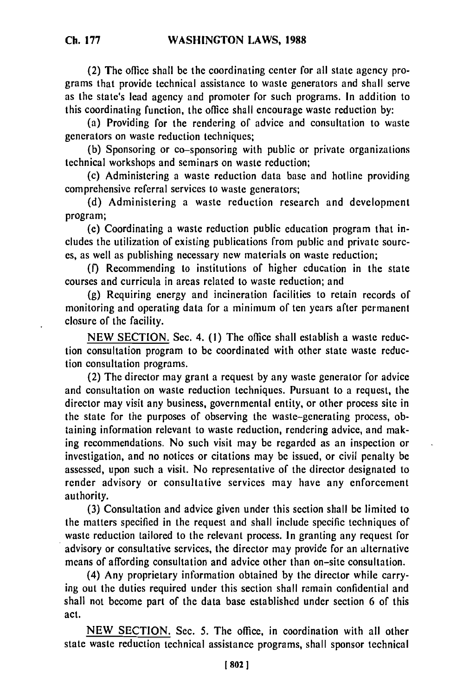(2) The office shall be the coordinating center for all state agency programs that provide technical assistance to waste generators and shall serve as the state's lead agency and promoter for such programs. In addition to this coordinating function, the office shall encourage waste reduction by:

(a) Providing for the rendering of advice and consultation to waste generators on waste reduction techniques;

(b) Sponsoring or co-sponsoring with public or private organizations technical workshops and seminars on waste reduction;

(c) Administering a waste reduction data base and hotline providing comprehensive referral services to waste generators;

(d) Administering a waste reduction research and development program;

(e) Coordinating a waste reduction public education program that includes the utilization of existing publications from public and private sources, as well as publishing necessary new materials on waste reduction;

(f) Recommending to institutions of higher education in the state courses and curricula in areas related to waste reduction; and

(g) Requiring energy and incineration facilities to retain records of monitoring and operating data for a minimum of ten years after permanent closure of the facility.

NEW SECTION. Sec. 4. **(1)** The office shall establish a waste reduction consultation program to be coordinated with other state waste reduction consultation programs.

(2) The director may grant a request by any waste generator for advice and consultation on waste reduction techniques. Pursuant to a request, the director may visit any business, governmental entity, or other process site in the state for the purposes of observing the waste-generating process, obtaining information relevant to waste reduction, rendering advice, and making recommendations. No such visit may be regarded as an inspection or investigation, and no notices or citations may be issued, or civil penalty be assessed, upon such a visit. No representative of the director designated to render advisory or consultative services may have any enforcement authority.

(3) Consultation and advice given under this section shall be limited to the matters specified in the request and shall include specific techniques of waste reduction tailored to the relevant process. In granting any request for advisory or consultative services, the director may provide for an alternative means of affording consultation and advice other than on-site consultation.

(4) Any proprietary information obtained by the director while carrying out the duties required under this section shall remain confidential and shall not become part of the data base established under section 6 of this act.

NEW SECTION. Sec. 5. The office, in coordination with all other state waste reduction technical assistance programs, shall sponsor technical